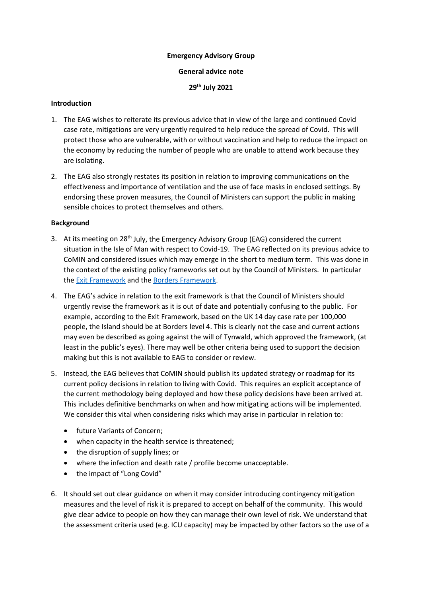### **Emergency Advisory Group**

### **General advice note**

**29th July 2021**

## **Introduction**

- 1. The EAG wishes to reiterate its previous advice that in view of the large and continued Covid case rate, mitigations are very urgently required to help reduce the spread of Covid. This will protect those who are vulnerable, with or without vaccination and help to reduce the impact on the economy by reducing the number of people who are unable to attend work because they are isolating.
- 2. The EAG also strongly restates its position in relation to improving communications on the effectiveness and importance of ventilation and the use of face masks in enclosed settings. By endorsing these proven measures, the Council of Ministers can support the public in making sensible choices to protect themselves and others.

# **Background**

- 3. At its meeting on 28<sup>th</sup> July, the Emergency Advisory Group (EAG) considered the current situation in the Isle of Man with respect to Covid-19. The EAG reflected on its previous advice to CoMIN and considered issues which may emerge in the short to medium term. This was done in the context of the existing policy frameworks set out by the Council of Ministers. In particular the [Exit Framework](https://covid19.gov.im/general-information/isle-of-man-exit-framework/) and the [Borders Framework.](https://covid19.gov.im/general-information/travel-advice/borders-framework/)
- 4. The EAG's advice in relation to the exit framework is that the Council of Ministers should urgently revise the framework as it is out of date and potentially confusing to the public. For example, according to the Exit Framework, based on the UK 14 day case rate per 100,000 people, the Island should be at Borders level 4. This is clearly not the case and current actions may even be described as going against the will of Tynwald, which approved the framework, (at least in the public's eyes). There may well be other criteria being used to support the decision making but this is not available to EAG to consider or review.
- 5. Instead, the EAG believes that CoMIN should publish its updated strategy or roadmap for its current policy decisions in relation to living with Covid. This requires an explicit acceptance of the current methodology being deployed and how these policy decisions have been arrived at. This includes definitive benchmarks on when and how mitigating actions will be implemented. We consider this vital when considering risks which may arise in particular in relation to:
	- future Variants of Concern;
	- when capacity in the health service is threatened;
	- the disruption of supply lines; or
	- where the infection and death rate / profile become unacceptable.
	- the impact of "Long Covid"
- 6. It should set out clear guidance on when it may consider introducing contingency mitigation measures and the level of risk it is prepared to accept on behalf of the community. This would give clear advice to people on how they can manage their own level of risk. We understand that the assessment criteria used (e.g. ICU capacity) may be impacted by other factors so the use of a